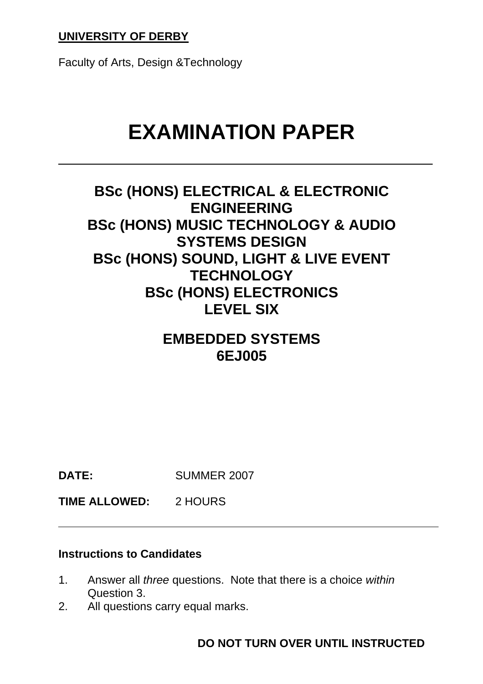#### **UNIVERSITY OF DERBY**

Faculty of Arts, Design &Technology

# **EXAMINATION PAPER**

# **BSc (HONS) ELECTRICAL & ELECTRONIC ENGINEERING BSc (HONS) MUSIC TECHNOLOGY & AUDIO SYSTEMS DESIGN BSc (HONS) SOUND, LIGHT & LIVE EVENT TECHNOLOGY BSc (HONS) ELECTRONICS LEVEL SIX**

## **EMBEDDED SYSTEMS 6EJ005**

**DATE:** SUMMER 2007

**TIME ALLOWED:** 2 HOURS

#### **Instructions to Candidates**

- 1. Answer all *three* questions. Note that there is a choice *within* Question 3.
- 2. All questions carry equal marks.

**DO NOT TURN OVER UNTIL INSTRUCTED**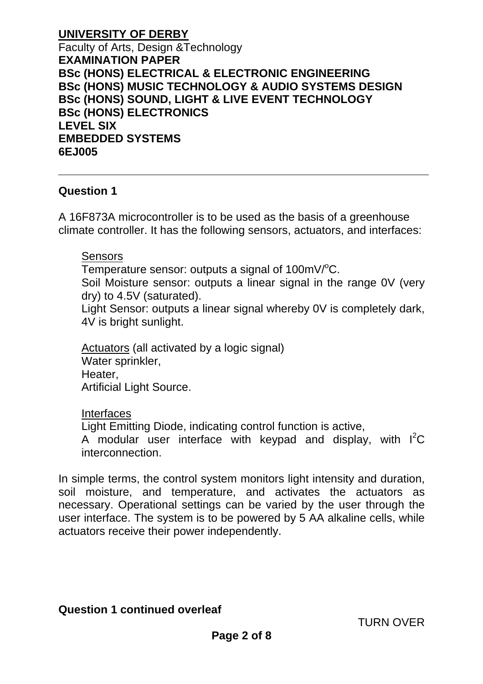#### **UNIVERSITY OF DERBY**

Faculty of Arts, Design &Technology **EXAMINATION PAPER BSc (HONS) ELECTRICAL & ELECTRONIC ENGINEERING BSc (HONS) MUSIC TECHNOLOGY & AUDIO SYSTEMS DESIGN BSc (HONS) SOUND, LIGHT & LIVE EVENT TECHNOLOGY BSc (HONS) ELECTRONICS LEVEL SIX EMBEDDED SYSTEMS 6EJ005** 

#### **Question 1**

A 16F873A microcontroller is to be used as the basis of a greenhouse climate controller. It has the following sensors, actuators, and interfaces:

#### **Sensors**

Temperature sensor: outputs a signal of  $100 \text{mV}$ <sup>o</sup>C.

Soil Moisture sensor: outputs a linear signal in the range OV (very dry) to 4.5V (saturated).

Light Sensor: outputs a linear signal whereby 0V is completely dark, 4V is bright sunlight.

Actuators (all activated by a logic signal) Water sprinkler, Heater, Artificial Light Source.

#### Interfaces

Light Emitting Diode, indicating control function is active,

A modular user interface with keypad and display, with  $I^2C$ interconnection.

In simple terms, the control system monitors light intensity and duration, soil moisture, and temperature, and activates the actuators as necessary. Operational settings can be varied by the user through the user interface. The system is to be powered by 5 AA alkaline cells, while actuators receive their power independently.

#### **Question 1 continued overleaf**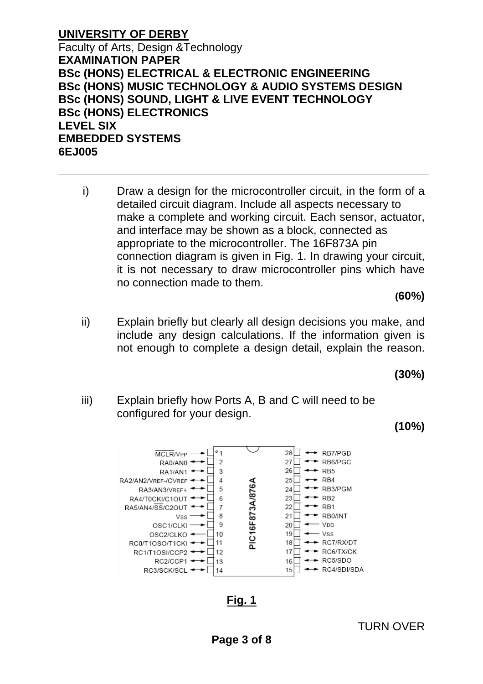i) Draw a design for the microcontroller circuit, in the form of a detailed circuit diagram. Include all aspects necessary to make a complete and working circuit. Each sensor, actuator, and interface may be shown as a block, connected as appropriate to the microcontroller. The 16F873A pin connection diagram is given in Fig. 1. In drawing your circuit, it is not necessary to draw microcontroller pins which have no connection made to them.

#### **(60%)**

ii) Explain briefly but clearly all design decisions you make, and include any design calculations. If the information given is not enough to complete a design detail, explain the reason.

#### **(30%)**

iii) Explain briefly how Ports A, B and C will need to be configured for your design.

#### **(10%)**



**Fig. 1**

TURN OVER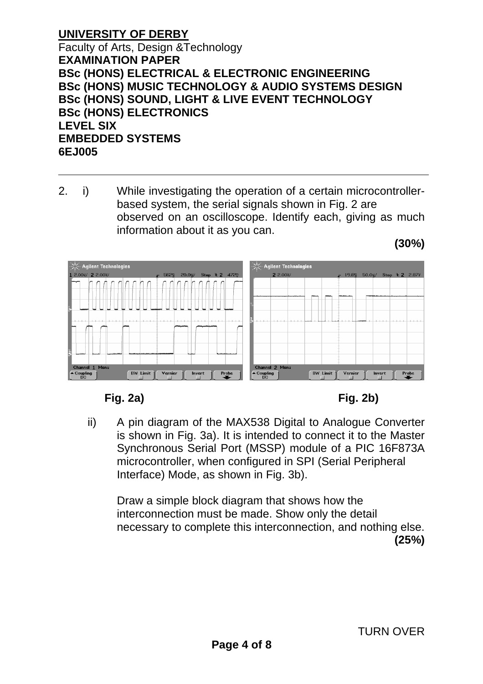2. i) While investigating the operation of a certain microcontroller based system, the serial signals shown in Fig. 2 are observed on an oscilloscope. Identify each, giving as much information about it as you can.

**(30%)** 



**Fig. 2a) Fig. 2b)** 

ii) A pin diagram of the MAX538 Digital to Analogue Converter is shown in Fig. 3a). It is intended to connect it to the Master Synchronous Serial Port (MSSP) module of a PIC 16F873A microcontroller, when configured in SPI (Serial Peripheral Interface) Mode, as shown in Fig. 3b).

Draw a simple block diagram that shows how the interconnection must be made. Show only the detail necessary to complete this interconnection, and nothing else.  $(25\%)$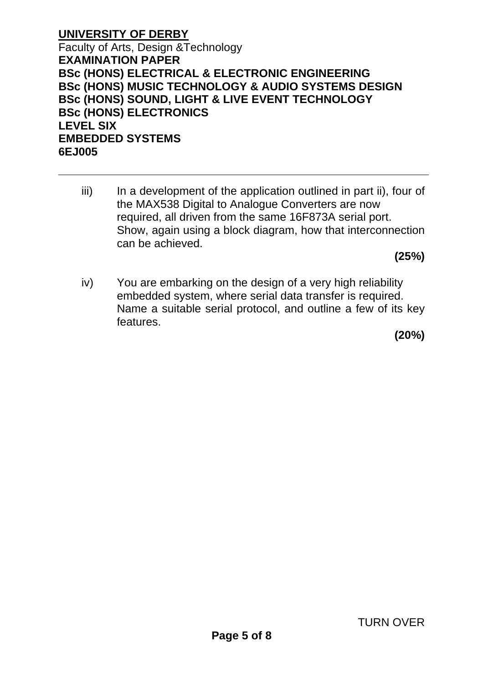iii) In a development of the application outlined in part ii), four of the MAX538 Digital to Analogue Converters are now required, all driven from the same 16F873A serial port. Show, again using a block diagram, how that interconnection can be achieved.

 $(25\%)$ 

iv) You are embarking on the design of a very high reliability embedded system, where serial data transfer is required. Name a suitable serial protocol, and outline a few of its key features.

**(20%)**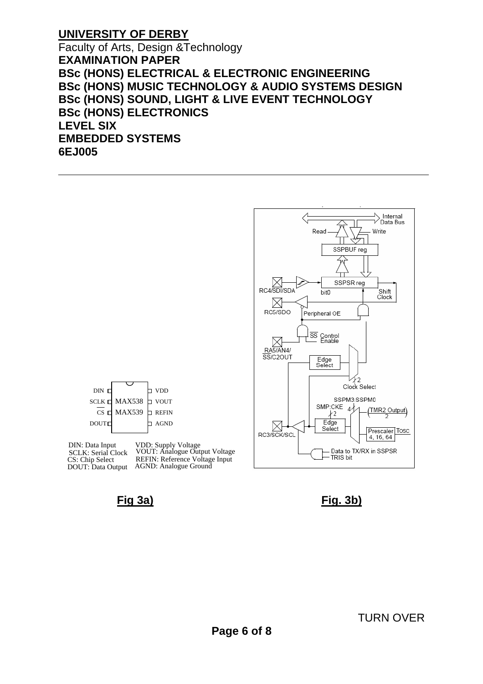#### **UNIVERSITY OF DERBY**

Faculty of Arts, Design &Technology **EXAMINATION PAPER BSc (HONS) ELECTRICAL & ELECTRONIC ENGINEERING BSc (HONS) MUSIC TECHNOLOGY & AUDIO SYSTEMS DESIGN BSc (HONS) SOUND, LIGHT & LIVE EVENT TECHNOLOGY BSc (HONS) ELECTRONICS LEVEL SIX EMBEDDED SYSTEMS 6EJ005** 





DIN: Data Input SCLK: Serial Clock CS: Chip Select

DOUT: Data Output AGND: Analogue Ground VDD: Supply Voltage VOUT: Analogue Output Voltage REFIN: Reference Voltage Input

**Fig 3a) Fig. 3b)**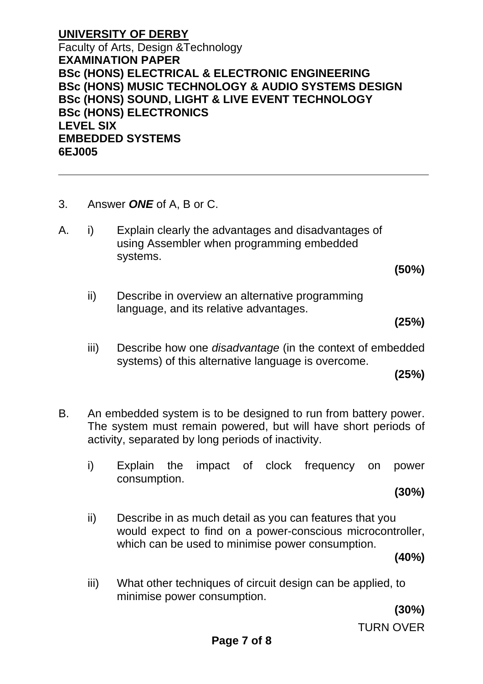- 3. Answer *ONE* of A, B or C.
- A. i) Explain clearly the advantages and disadvantages of using Assembler when programming embedded systems.

**(50%)** 

ii) Describe in overview an alternative programming language, and its relative advantages.

**(25%)**

iii) Describe how one *disadvantage* (in the context of embedded systems) of this alternative language is overcome.

**(25%)** 

- B. An embedded system is to be designed to run from battery power. The system must remain powered, but will have short periods of activity, separated by long periods of inactivity.
	- i) Explain the impact of clock frequency on power consumption.

**(30%)**

ii) Describe in as much detail as you can features that you would expect to find on a power-conscious microcontroller, which can be used to minimise power consumption.

 **(40%)** 

iii) What other techniques of circuit design can be applied, to minimise power consumption.

**(30%)** 

TURN OVER